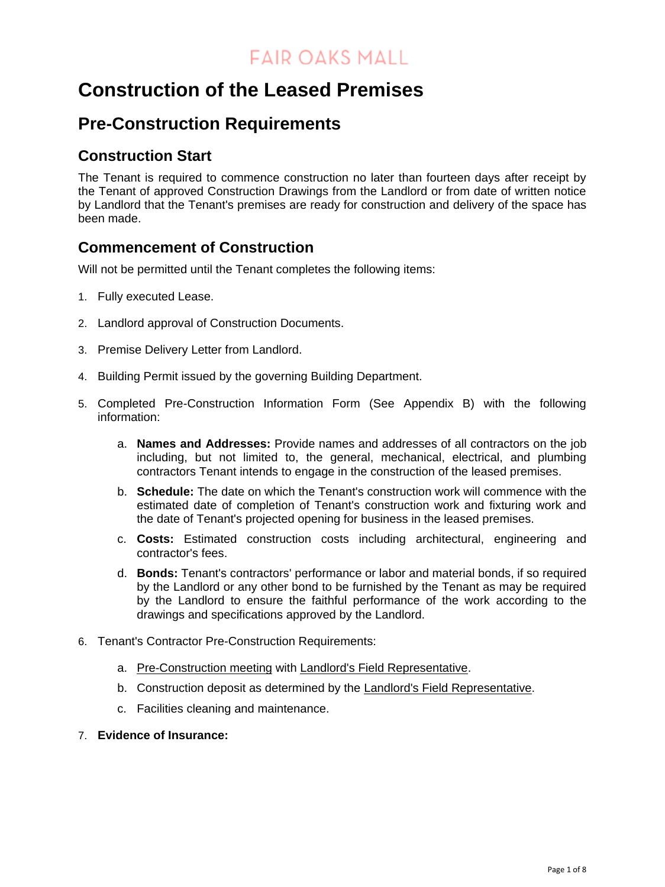## **Construction of the Leased Premises**

### **Pre-Construction Requirements**

#### **Construction Start**

The Tenant is required to commence construction no later than fourteen days after receipt by the Tenant of approved Construction Drawings from the Landlord or from date of written notice by Landlord that the Tenant's premises are ready for construction and delivery of the space has been made.

#### **Commencement of Construction**

Will not be permitted until the Tenant completes the following items:

- 1. Fully executed Lease.
- 2. Landlord approval of Construction Documents.
- 3. Premise Delivery Letter from Landlord.
- 4. Building Permit issued by the governing Building Department.
- 5. Completed Pre-Construction Information Form (See Appendix B) with the following information:
	- a. **Names and Addresses:** Provide names and addresses of all contractors on the job including, but not limited to, the general, mechanical, electrical, and plumbing contractors Tenant intends to engage in the construction of the leased premises.
	- b. **Schedule:** The date on which the Tenant's construction work will commence with the estimated date of completion of Tenant's construction work and fixturing work and the date of Tenant's projected opening for business in the leased premises.
	- c. **Costs:** Estimated construction costs including architectural, engineering and contractor's fees.
	- d. **Bonds:** Tenant's contractors' performance or labor and material bonds, if so required by the Landlord or any other bond to be furnished by the Tenant as may be required by the Landlord to ensure the faithful performance of the work according to the drawings and specifications approved by the Landlord.
- 6. Tenant's Contractor Pre-Construction Requirements:
	- a. Pre-Construction meeting with Landlord's Field Representative.
	- b. Construction deposit as determined by the Landlord's Field Representative.
	- c. Facilities cleaning and maintenance.
- 7. **Evidence of Insurance:**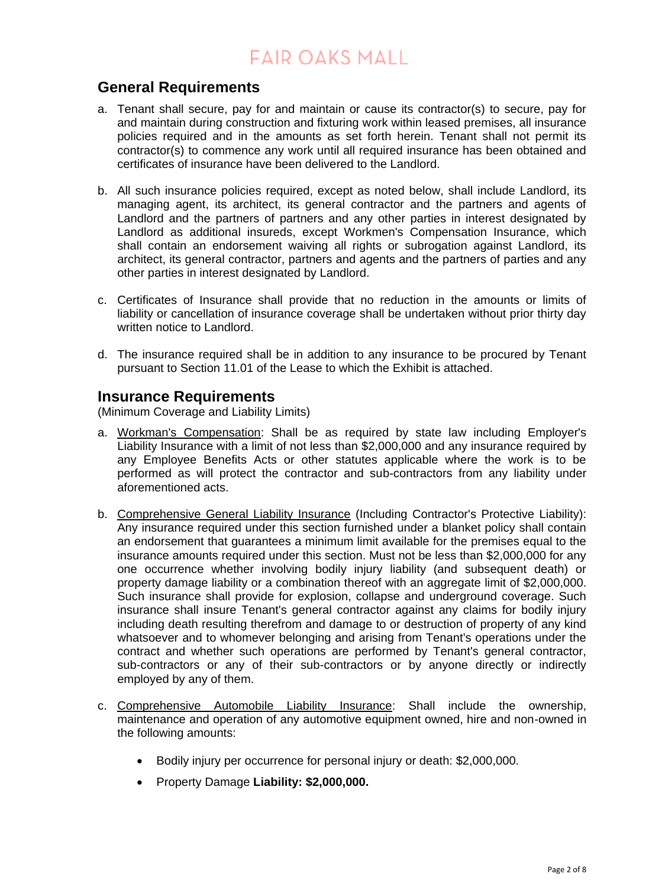#### **General Requirements**

- a. Tenant shall secure, pay for and maintain or cause its contractor(s) to secure, pay for and maintain during construction and fixturing work within leased premises, all insurance policies required and in the amounts as set forth herein. Tenant shall not permit its contractor(s) to commence any work until all required insurance has been obtained and certificates of insurance have been delivered to the Landlord.
- b. All such insurance policies required, except as noted below, shall include Landlord, its managing agent, its architect, its general contractor and the partners and agents of Landlord and the partners of partners and any other parties in interest designated by Landlord as additional insureds, except Workmen's Compensation Insurance, which shall contain an endorsement waiving all rights or subrogation against Landlord, its architect, its general contractor, partners and agents and the partners of parties and any other parties in interest designated by Landlord.
- c. Certificates of Insurance shall provide that no reduction in the amounts or limits of liability or cancellation of insurance coverage shall be undertaken without prior thirty day written notice to Landlord.
- d. The insurance required shall be in addition to any insurance to be procured by Tenant pursuant to Section 11.01 of the Lease to which the Exhibit is attached.

#### **Insurance Requirements**

(Minimum Coverage and Liability Limits)

- a. Workman's Compensation: Shall be as required by state law including Employer's Liability Insurance with a limit of not less than \$2,000,000 and any insurance required by any Employee Benefits Acts or other statutes applicable where the work is to be performed as will protect the contractor and sub-contractors from any liability under aforementioned acts.
- b. Comprehensive General Liability Insurance (Including Contractor's Protective Liability): Any insurance required under this section furnished under a blanket policy shall contain an endorsement that guarantees a minimum limit available for the premises equal to the insurance amounts required under this section. Must not be less than \$2,000,000 for any one occurrence whether involving bodily injury liability (and subsequent death) or property damage liability or a combination thereof with an aggregate limit of \$2,000,000. Such insurance shall provide for explosion, collapse and underground coverage. Such insurance shall insure Tenant's general contractor against any claims for bodily injury including death resulting therefrom and damage to or destruction of property of any kind whatsoever and to whomever belonging and arising from Tenant's operations under the contract and whether such operations are performed by Tenant's general contractor, sub-contractors or any of their sub-contractors or by anyone directly or indirectly employed by any of them.
- c. Comprehensive Automobile Liability Insurance: Shall include the ownership, maintenance and operation of any automotive equipment owned, hire and non-owned in the following amounts:
	- Bodily injury per occurrence for personal injury or death: \$2,000,000.
	- Property Damage **Liability: \$2,000,000.**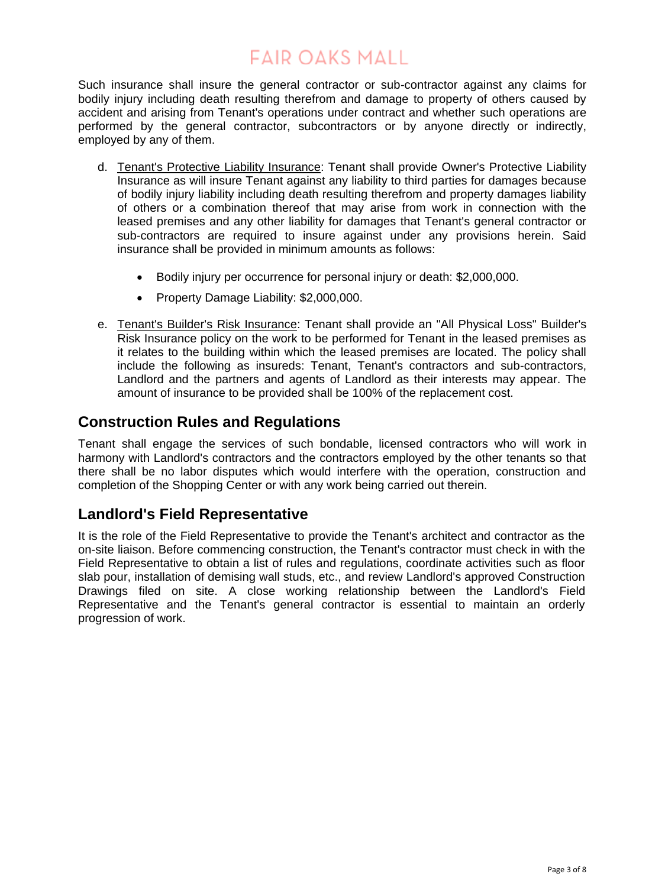Such insurance shall insure the general contractor or sub-contractor against any claims for bodily injury including death resulting therefrom and damage to property of others caused by accident and arising from Tenant's operations under contract and whether such operations are performed by the general contractor, subcontractors or by anyone directly or indirectly, employed by any of them.

- d. Tenant's Protective Liability Insurance: Tenant shall provide Owner's Protective Liability Insurance as will insure Tenant against any liability to third parties for damages because of bodily injury liability including death resulting therefrom and property damages liability of others or a combination thereof that may arise from work in connection with the leased premises and any other liability for damages that Tenant's general contractor or sub-contractors are required to insure against under any provisions herein. Said insurance shall be provided in minimum amounts as follows:
	- Bodily injury per occurrence for personal injury or death: \$2,000,000.
	- Property Damage Liability: \$2,000,000.
- e. Tenant's Builder's Risk Insurance: Tenant shall provide an "All Physical Loss" Builder's Risk Insurance policy on the work to be performed for Tenant in the leased premises as it relates to the building within which the leased premises are located. The policy shall include the following as insureds: Tenant, Tenant's contractors and sub-contractors, Landlord and the partners and agents of Landlord as their interests may appear. The amount of insurance to be provided shall be 100% of the replacement cost.

#### **Construction Rules and Regulations**

Tenant shall engage the services of such bondable, licensed contractors who will work in harmony with Landlord's contractors and the contractors employed by the other tenants so that there shall be no labor disputes which would interfere with the operation, construction and completion of the Shopping Center or with any work being carried out therein.

#### **Landlord's Field Representative**

It is the role of the Field Representative to provide the Tenant's architect and contractor as the on-site liaison. Before commencing construction, the Tenant's contractor must check in with the Field Representative to obtain a list of rules and regulations, coordinate activities such as floor slab pour, installation of demising wall studs, etc., and review Landlord's approved Construction Drawings filed on site. A close working relationship between the Landlord's Field Representative and the Tenant's general contractor is essential to maintain an orderly progression of work.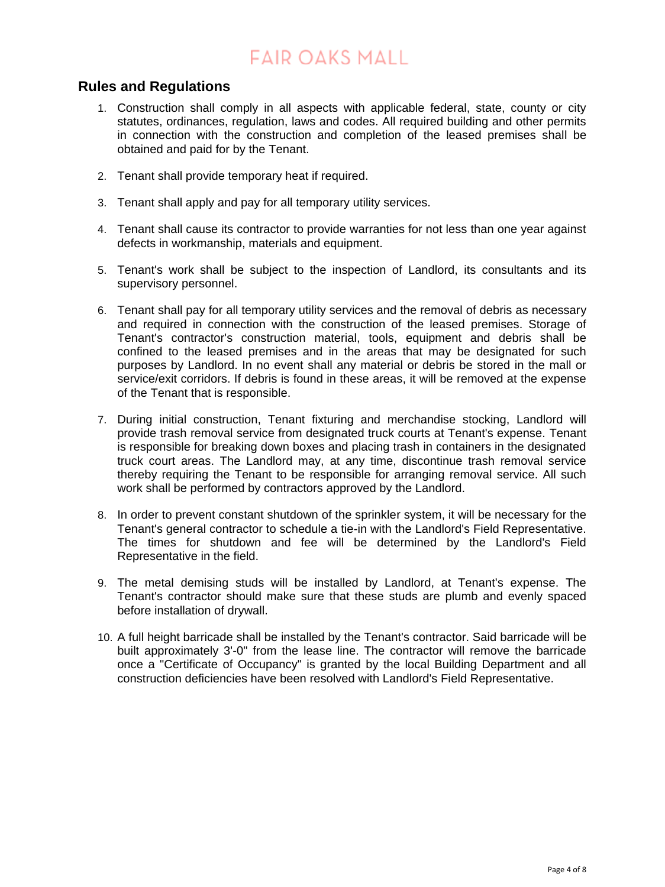#### **Rules and Regulations**

- 1. Construction shall comply in all aspects with applicable federal, state, county or city statutes, ordinances, regulation, laws and codes. All required building and other permits in connection with the construction and completion of the leased premises shall be obtained and paid for by the Tenant.
- 2. Tenant shall provide temporary heat if required.
- 3. Tenant shall apply and pay for all temporary utility services.
- 4. Tenant shall cause its contractor to provide warranties for not less than one year against defects in workmanship, materials and equipment.
- 5. Tenant's work shall be subject to the inspection of Landlord, its consultants and its supervisory personnel.
- 6. Tenant shall pay for all temporary utility services and the removal of debris as necessary and required in connection with the construction of the leased premises. Storage of Tenant's contractor's construction material, tools, equipment and debris shall be confined to the leased premises and in the areas that may be designated for such purposes by Landlord. In no event shall any material or debris be stored in the mall or service/exit corridors. If debris is found in these areas, it will be removed at the expense of the Tenant that is responsible.
- 7. During initial construction, Tenant fixturing and merchandise stocking, Landlord will provide trash removal service from designated truck courts at Tenant's expense. Tenant is responsible for breaking down boxes and placing trash in containers in the designated truck court areas. The Landlord may, at any time, discontinue trash removal service thereby requiring the Tenant to be responsible for arranging removal service. All such work shall be performed by contractors approved by the Landlord.
- 8. In order to prevent constant shutdown of the sprinkler system, it will be necessary for the Tenant's general contractor to schedule a tie-in with the Landlord's Field Representative. The times for shutdown and fee will be determined by the Landlord's Field Representative in the field.
- 9. The metal demising studs will be installed by Landlord, at Tenant's expense. The Tenant's contractor should make sure that these studs are plumb and evenly spaced before installation of drywall.
- 10. A full height barricade shall be installed by the Tenant's contractor. Said barricade will be built approximately 3'-0" from the lease line. The contractor will remove the barricade once a "Certificate of Occupancy" is granted by the local Building Department and all construction deficiencies have been resolved with Landlord's Field Representative.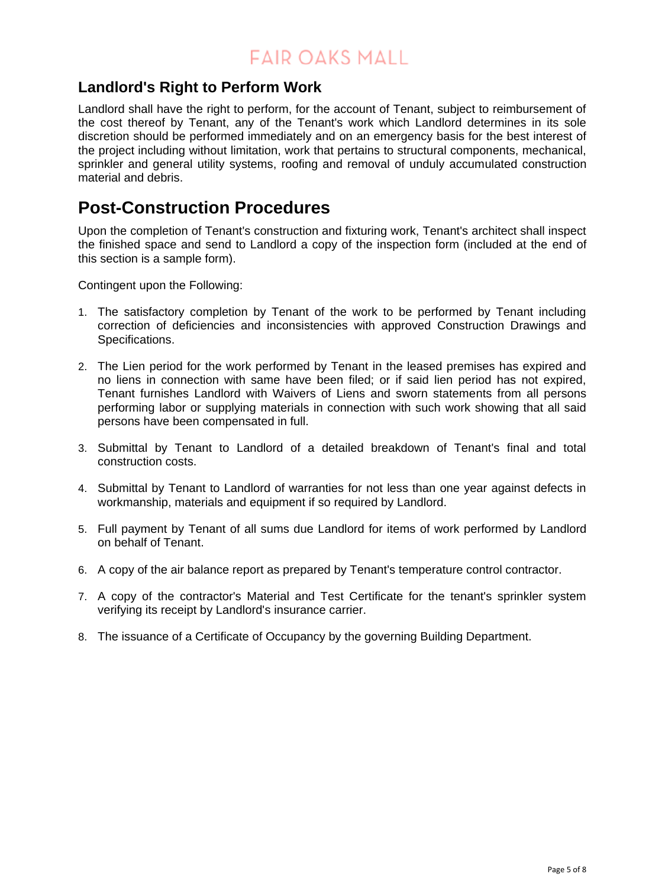#### **Landlord's Right to Perform Work**

Landlord shall have the right to perform, for the account of Tenant, subject to reimbursement of the cost thereof by Tenant, any of the Tenant's work which Landlord determines in its sole discretion should be performed immediately and on an emergency basis for the best interest of the project including without limitation, work that pertains to structural components, mechanical, sprinkler and general utility systems, roofing and removal of unduly accumulated construction material and debris.

### **Post-Construction Procedures**

Upon the completion of Tenant's construction and fixturing work, Tenant's architect shall inspect the finished space and send to Landlord a copy of the inspection form (included at the end of this section is a sample form).

Contingent upon the Following:

- 1. The satisfactory completion by Tenant of the work to be performed by Tenant including correction of deficiencies and inconsistencies with approved Construction Drawings and Specifications.
- 2. The Lien period for the work performed by Tenant in the leased premises has expired and no liens in connection with same have been filed; or if said lien period has not expired, Tenant furnishes Landlord with Waivers of Liens and sworn statements from all persons performing labor or supplying materials in connection with such work showing that all said persons have been compensated in full.
- 3. Submittal by Tenant to Landlord of a detailed breakdown of Tenant's final and total construction costs.
- 4. Submittal by Tenant to Landlord of warranties for not less than one year against defects in workmanship, materials and equipment if so required by Landlord.
- 5. Full payment by Tenant of all sums due Landlord for items of work performed by Landlord on behalf of Tenant.
- 6. A copy of the air balance report as prepared by Tenant's temperature control contractor.
- 7. A copy of the contractor's Material and Test Certificate for the tenant's sprinkler system verifying its receipt by Landlord's insurance carrier.
- 8. The issuance of a Certificate of Occupancy by the governing Building Department.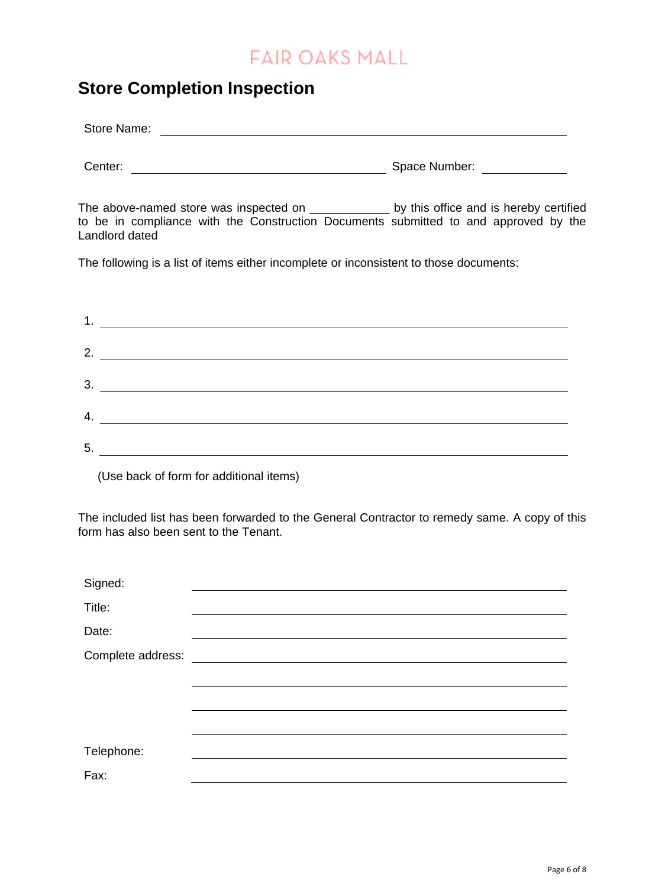## **Store Completion Inspection**

| Store Name: |               |
|-------------|---------------|
|             |               |
| Center:     | Space Number: |

The above-named store was inspected on \_\_\_\_\_\_\_\_\_\_\_\_\_ by this office and is hereby certified to be in compliance with the Construction Documents submitted to and approved by the Landlord dated

The following is a list of items either incomplete or inconsistent to those documents:

| 1. |  |
|----|--|
| 2. |  |
| 3. |  |
| 4. |  |
| 5. |  |

(Use back of form for additional items)

The included list has been forwarded to the General Contractor to remedy same. A copy of this form has also been sent to the Tenant.

| Signed:           |  |
|-------------------|--|
| Title:            |  |
| Date:             |  |
| Complete address: |  |
|                   |  |
|                   |  |
|                   |  |
| Telephone:        |  |
| Fax:              |  |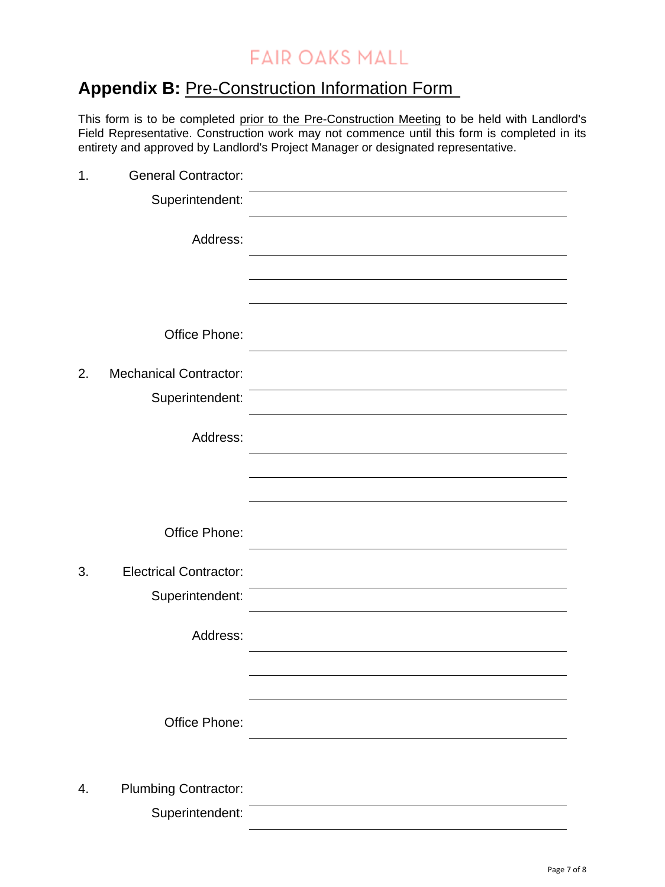## **Appendix B: Pre-Construction Information Form**

This form is to be completed prior to the Pre-Construction Meeting to be held with Landlord's Field Representative. Construction work may not commence until this form is completed in its entirety and approved by Landlord's Project Manager or designated representative.

| 1. | <b>General Contractor:</b>    |  |
|----|-------------------------------|--|
|    | Superintendent:               |  |
|    | Address:                      |  |
|    |                               |  |
|    |                               |  |
|    | Office Phone:                 |  |
| 2. | <b>Mechanical Contractor:</b> |  |
|    | Superintendent:               |  |
|    | Address:                      |  |
|    |                               |  |
|    |                               |  |
|    | Office Phone:                 |  |
| 3. | <b>Electrical Contractor:</b> |  |
|    | Superintendent:               |  |
|    | Address:                      |  |
|    |                               |  |
|    |                               |  |
|    | Office Phone:                 |  |
|    |                               |  |
| 4. | <b>Plumbing Contractor:</b>   |  |
|    | Superintendent:               |  |